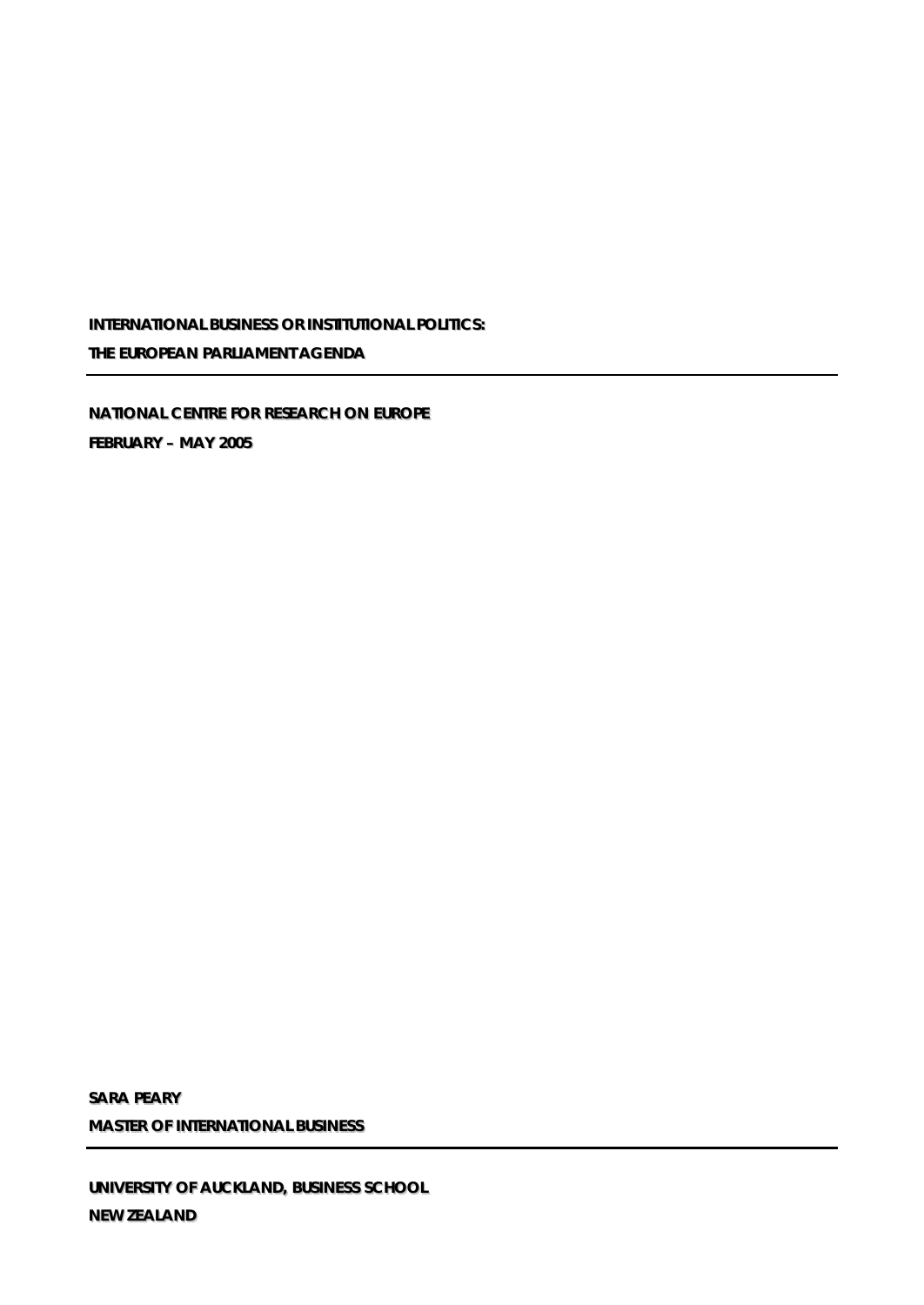**INTERNATIONAL BUSINESS OR INSTITUTIONAL POLITICS: THE EUROPEAN PARLIAMENT AGENDA** 

**NATIIONAL CENTRE FOR RESEARCH ON EUROPE FEBRUARY – MAY 2005**

**SARA PEARY MASTER OF IINTERNATIIONAL BUSIINESS**

**UNIIVERSIITY OF AUCKLAND,, BUSIINESS SCHOOL NEW ZEALAND**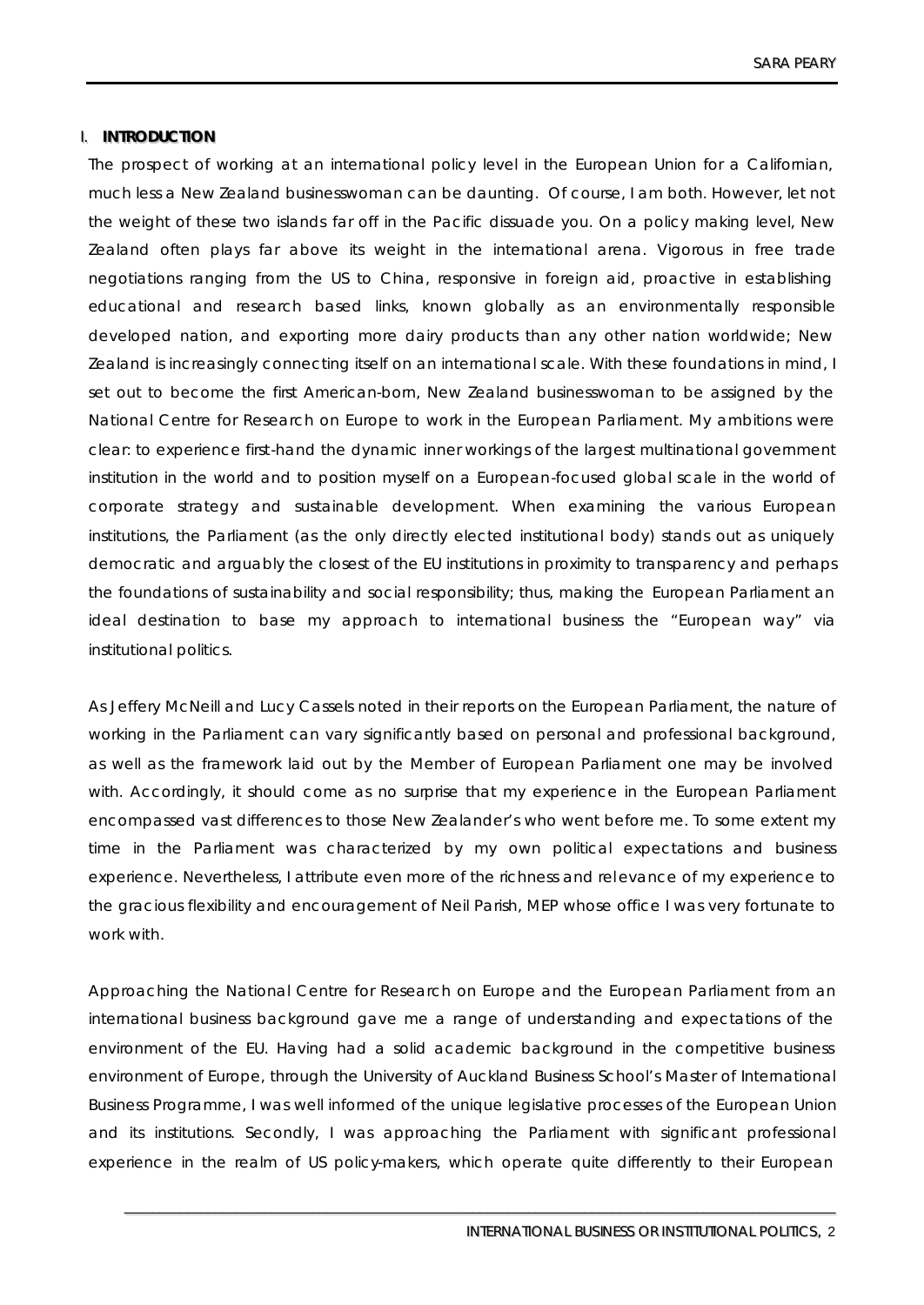# **I. INTRODUCTION**

The prospect of working at an international policy level in the European Union for a Californian, much less a New Zealand businesswoman can be daunting. Of course, I am both. However, let not the weight of these two islands far off in the Pacific dissuade you. On a policy making level, New Zealand often plays far above its weight in the international arena. Vigorous in free trade negotiations ranging from the US to China, responsive in foreign aid, proactive in establishing educational and research based links, known globally as an environmentally responsible developed nation, and exporting more dairy products than any other nation worldwide; New Zealand is increasingly connecting itself on an international scale. With these foundations in mind, I set out to become the first American-born, New Zealand businesswoman to be assigned by the National Centre for Research on Europe to work in the European Parliament. My ambitions were clear: to experience first-hand the dynamic inner workings of the largest multinational government institution in the world and to position myself on a European-focused global scale in the world of corporate strategy and sustainable development. When examining the various European institutions, the Parliament (as the only directly elected institutional body) stands out as uniquely democratic and arguably the closest of the EU institutions in proximity to transparency and perhaps the foundations of sustainability and social responsibility; thus, making the European Parliament an ideal destination to base my approach to international business the "European way" via institutional politics.

As Jeffery McNeill and Lucy Cassels noted in their reports on the European Parliament, the nature of working in the Parliament can vary significantly based on personal and professional background, as well as the framework laid out by the Member of European Parliament one may be involved with. Accordingly, it should come as no surprise that my experience in the European Parliament encompassed vast differences to those New Zealander's who went before me. To some extent my time in the Parliament was characterized by my own political expectations and business experience. Nevertheless, I attribute even more of the richness and rel evance of my experience to the gracious flexibility and encouragement of Neil Parish, MEP whose office I was very fortunate to work with.

Approaching the National Centre for Research on Europe and the European Parliament from an international business background gave me a range of understanding and expectations of the environment of the EU. Having had a solid academic background in the competitive business environment of Europe, through the University of Auckland Business School's Master of International Business Programme, I was well informed of the unique legislative processes of the European Union and its institutions. Secondly, I was approaching the Parliament with significant professional experience in the realm of US policy-makers, which operate quite differently to their European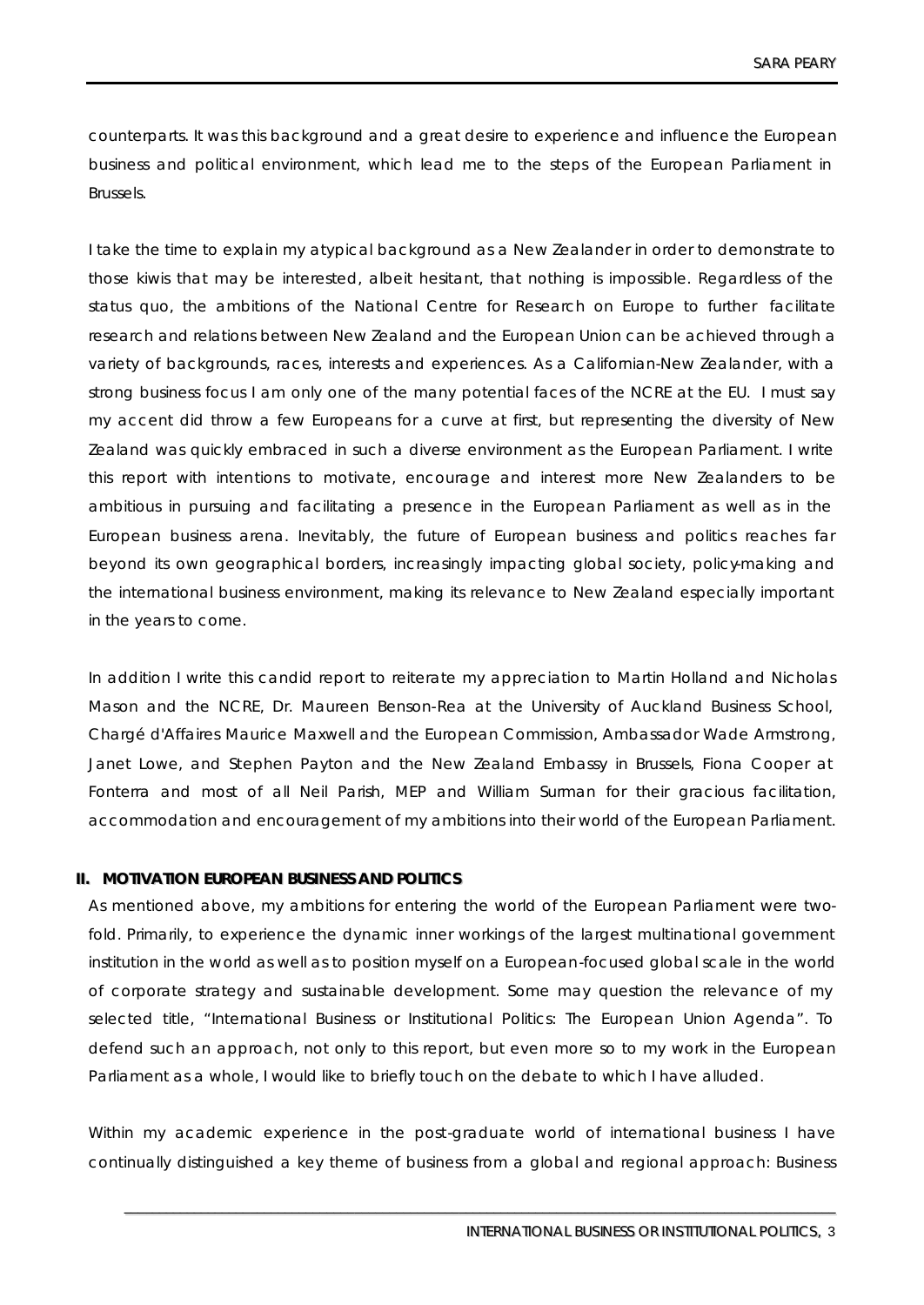counterparts. It was this background and a great desire to experience and influence the European business and political environment, which lead me to the steps of the European Parliament in Brussels.

I take the time to explain my atypical background as a New Zealander in order to demonstrate to those kiwis that may be interested, albeit hesitant, that nothing is impossible. Regardless of the status quo, the ambitions of the National Centre for Research on Europe to further facilitate research and relations between New Zealand and the European Union can be achieved through a variety of backgrounds, races, interests and experiences. As a Californian-New Zealander, with a strong business focus I am only one of the many potential faces of the NCRE at the EU. I must say my accent did throw a few Europeans for a curve at first, but representing the diversity of New Zealand was quickly embraced in such a diverse environment as the European Parliament. I write this report with intentions to motivate, encourage and interest more New Zealanders to be ambitious in pursuing and facilitating a presence in the European Parliament as well as in the European business arena. Inevitably, the future of European business and politics reaches far beyond its own geographical borders, increasingly impacting global society, policy-making and the international business environment, making its relevance to New Zealand especially important in the years to come.

In addition I write this candid report to reiterate my appreciation to Martin Holland and Nicholas Mason and the NCRE, Dr. Maureen Benson-Rea at the University of Auckland Business School, Chargé d'Affaires Maurice Maxwell and the European Commission, Ambassador Wade Armstrong, Janet Lowe, and Stephen Payton and the New Zealand Embassy in Brussels, Fiona Cooper at Fonterra and most of all Neil Parish, MEP and William Surman for their gracious facilitation, accommodation and encouragement of my ambitions into their world of the European Parliament.

### **II. MOTIVATION EUROPEAN BUSINESS AND POLITICS**

As mentioned above, my ambitions for entering the world of the European Parliament were twofold. Primarily, to experience the dynamic inner workings of the largest multinational government institution in the world as well as to position myself on a European-focused global scale in the world of corporate strategy and sustainable development. Some may question the relevance of my selected title, "International Business or Institutional Politics: The European Union Agenda". To defend such an approach, not only to this report, but even more so to my work in the European Parliament as a whole, I would like to briefly touch on the debate to which I have alluded.

Within my academic experience in the post-graduate world of international business I have continually distinguished a key theme of business from a global and regional approach: Business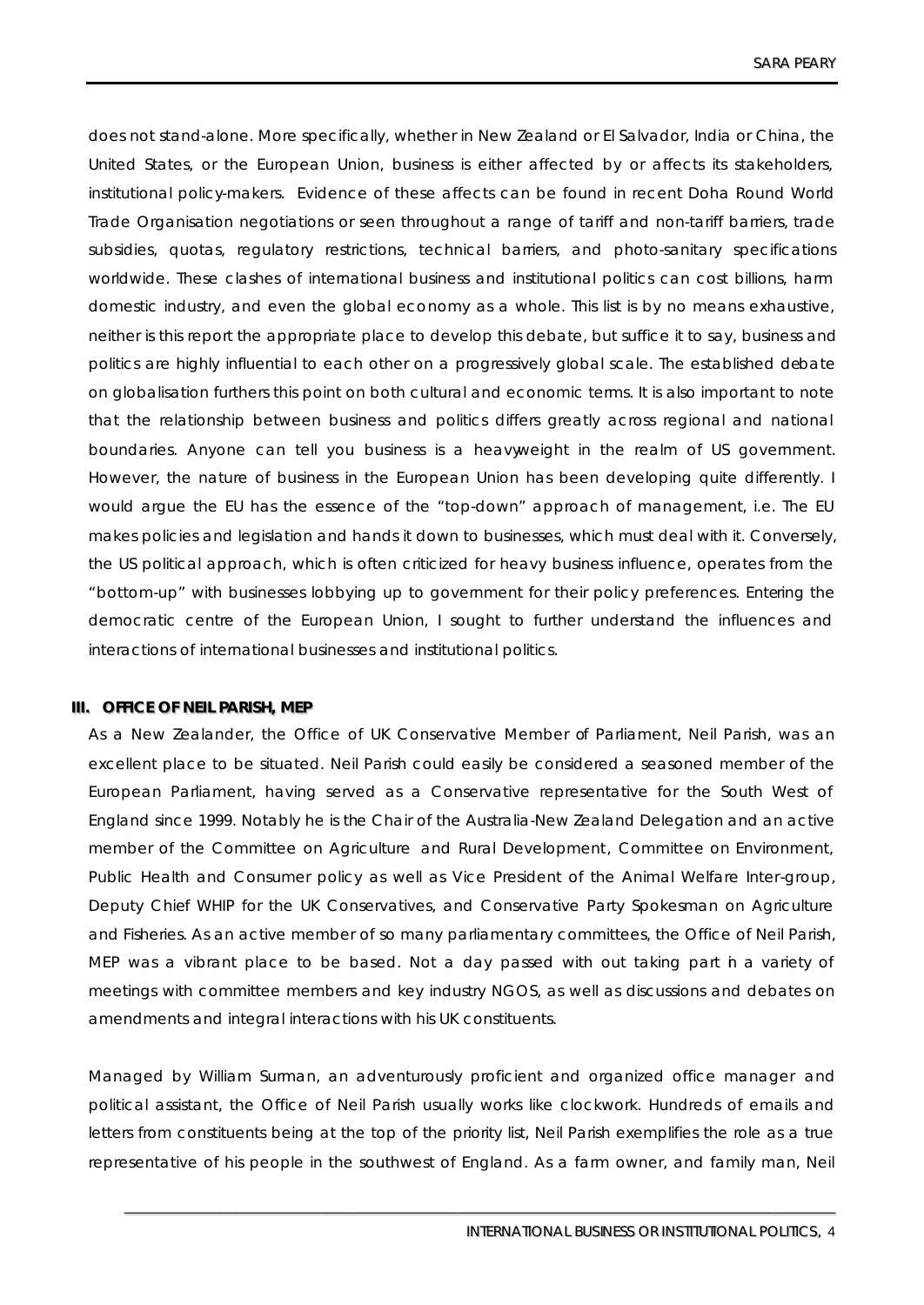does not stand-alone. More specifically, whether in New Zealand or El Salvador, India or China, the United States, or the European Union, business is either affected by or affects its stakeholders, institutional policy-makers. Evidence of these affects can be found in recent Doha Round World Trade Organisation negotiations or seen throughout a range of tariff and non-tariff barriers, trade subsidies, quotas, regulatory restrictions, technical barriers, and photo-sanitary specifications worldwide. These clashes of international business and institutional politics can cost billions, harm domestic industry, and even the global economy as a whole. This list is by no means exhaustive, neither is this report the appropriate place to develop this debate, but suffice it to say, business and politics are highly influential to each other on a progressively global scale. The established debate on globalisation furthers this point on both cultural and economic terms. It is also important to note that the relationship between business and politics differs greatly across regional and national boundaries. Anyone can tell you business is a heavyweight in the realm of US government. However, the nature of business in the European Union has been developing quite differently. I would argue the EU has the essence of the "top-down" approach of management, i.e. The EU makes policies and legislation and hands it down to businesses, which must deal with it. Conversely, the US political approach, which is often criticized for heavy business influence, operates from the "bottom-up" with businesses lobbying up to government for their policy preferences. Entering the democratic centre of the European Union, I sought to further understand the influences and interactions of international businesses and institutional politics.

### **III.** OFFICE OF NEIL PARISH, MEP

As a New Zealander, the Office of UK Conservative Member of Parliament, Neil Parish, was an excellent place to be situated. Neil Parish could easily be considered a seasoned member of the European Parliament, having served as a Conservative representative for the South West of England since 1999. Notably he is the Chair of the Australia-New Zealand Delegation and an active member of the Committee on Agriculture and Rural Development, Committee on Environment, Public Health and Consumer policy as well as Vice President of the Animal Welfare Inter-group, Deputy Chief WHIP for the UK Conservatives, and Conservative Party Spokesman on Agriculture and Fisheries. As an active member of so many parliamentary committees, the Office of Neil Parish, MEP was a vibrant place to be based. Not a day passed with out taking part h a variety of meetings with committee members and key industry NGOS, as well as discussions and debates on amendments and integral interactions with his UK constituents.

Managed by William Surman, an adventurously proficient and organized office manager and political assistant, the Office of Neil Parish usually works like clockwork. Hundreds of emails and letters from constituents being at the top of the priority list, Neil Parish exemplifies the role as a true representative of his people in the southwest of England. As a farm owner, and family man, Neil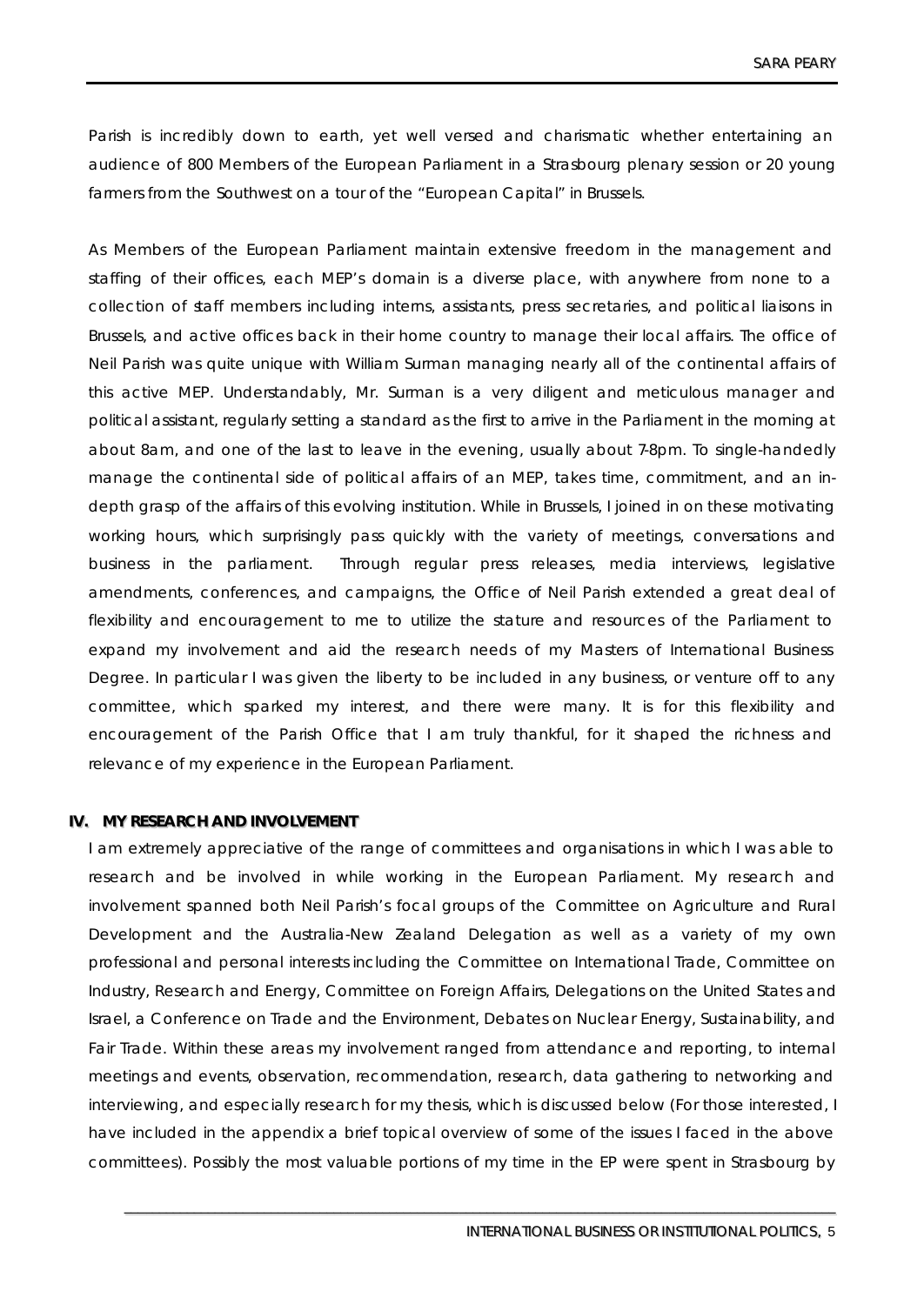Parish is incredibly down to earth, yet well versed and charismatic whether entertaining an audience of 800 Members of the European Parliament in a Strasbourg plenary session or 20 young farmers from the Southwest on a tour of the "European Capital" in Brussels.

As Members of the European Parliament maintain extensive freedom in the management and staffing of their offices, each MEP's domain is a diverse place, with anywhere from none to a collection of staff members including interns, assistants, press secretaries, and political liaisons in Brussels, and active offices back in their home country to manage their local affairs. The office of Neil Parish was quite unique with William Surman managing nearly all of the continental affairs of this active MEP. Understandably, Mr. Surman is a very diligent and meticulous manager and political assistant, regularly setting a standard as the first to arrive in the Parliament in the morning at about 8am, and one of the last to leave in the evening, usually about 7-8pm. To single-handedly manage the continental side of political affairs of an MEP, takes time, commitment, and an indepth grasp of the affairs of this evolving institution. While in Brussels, I joined in on these motivating working hours, which surprisingly pass quickly with the variety of meetings, conversations and business in the parliament. Through regular press releases, media interviews, legislative amendments, conferences, and campaigns, the Office of Neil Parish extended a great deal of flexibility and encouragement to me to utilize the stature and resources of the Parliament to expand my involvement and aid the research needs of my Masters of International Business Degree. In particular I was given the liberty to be included in any business, or venture off to any committee, which sparked my interest, and there were many. It is for this flexibility and encouragement of the Parish Office that I am truly thankful, for it shaped the richness and relevance of my experience in the European Parliament.

### **IIV.. MY RESEARCH AND IINVOLVEMENT**

I am extremely appreciative of the range of committees and organisations in which I was able to research and be involved in while working in the European Parliament. My research and involvement spanned both Neil Parish's focal groups of the Committee on Agriculture and Rural Development and the Australia-New Zealand Delegation as well as a variety of my own professional and personal interests including the Committee on International Trade, Committee on Industry, Research and Energy, Committee on Foreign Affairs, Delegations on the United States and Israel, a Conference on Trade and the Environment, Debates on Nuclear Energy, Sustainability, and Fair Trade. Within these areas my involvement ranged from attendance and reporting, to internal meetings and events, observation, recommendation, research, data gathering to networking and interviewing, and especially research for my thesis, which is discussed below (For those interested, I have included in the appendix a brief topical overview of some of the issues I faced in the above committees). Possibly the most valuable portions of my time in the EP were spent in Strasbourg by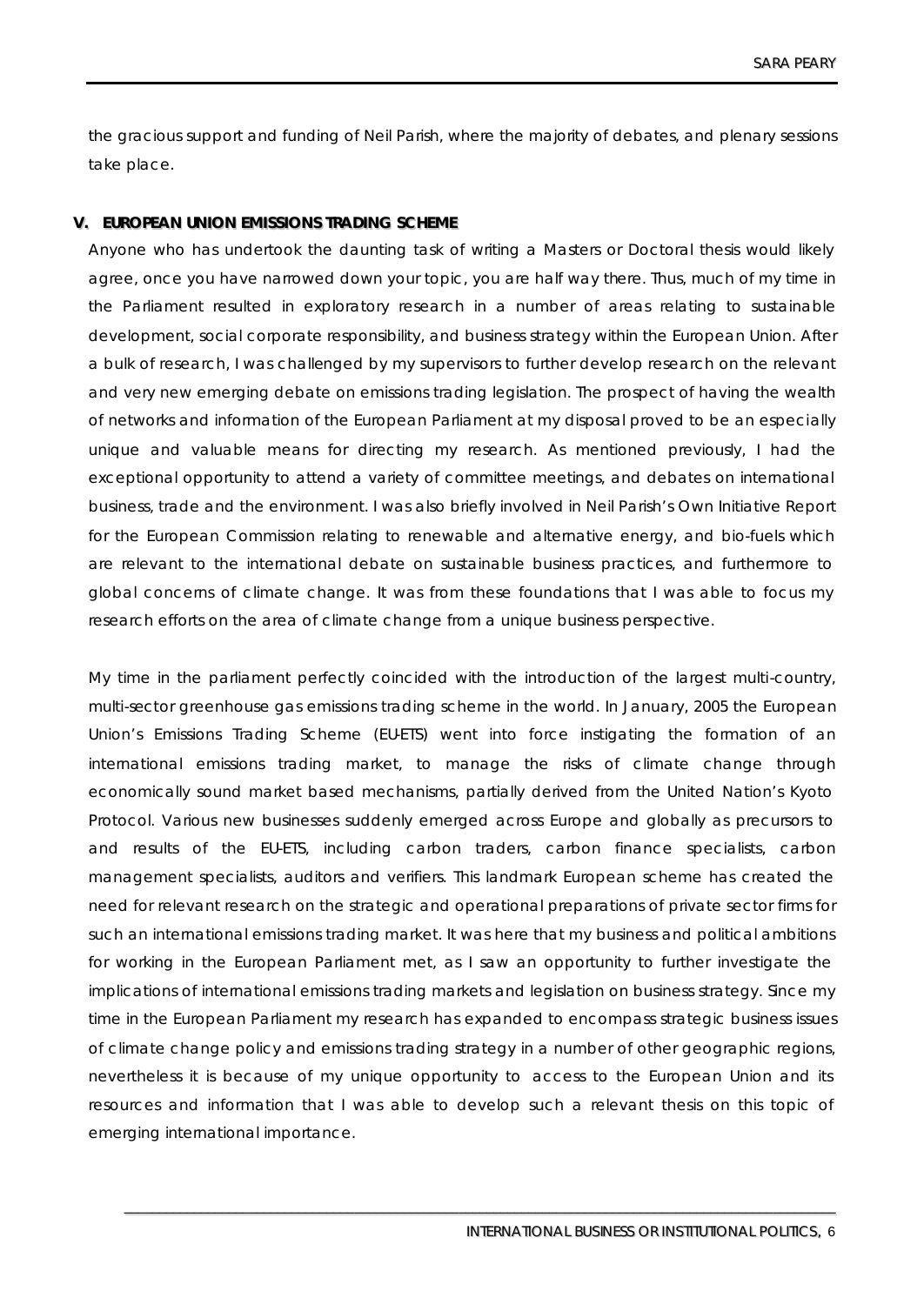the gracious support and funding of Neil Parish, where the majority of debates, and plenary sessions take place.

# **V. EUROPEAN UNION EMISSIONS TRADING SCHEME**

Anyone who has undertook the daunting task of writing a Masters or Doctoral thesis would likely agree, once you have narrowed down your topic, you are half way there. Thus, much of my time in the Parliament resulted in exploratory research in a number of areas relating to sustainable development, social corporate responsibility, and business strategy within the European Union. After a bulk of research, I was challenged by my supervisors to further develop research on the relevant and very new emerging debate on emissions trading legislation. The prospect of having the wealth of networks and information of the European Parliament at my disposal proved to be an especially unique and valuable means for directing my research. As mentioned previously, I had the exceptional opportunity to attend a variety of committee meetings, and debates on international business, trade and the environment. I was also briefly involved in Neil Parish's Own Initiative Report for the European Commission relating to renewable and alternative energy, and bio-fuels which are relevant to the international debate on sustainable business practices, and furthermore to global concerns of climate change. It was from these foundations that I was able to focus my research efforts on the area of climate change from a unique business perspective.

My time in the parliament perfectly coincided with the introduction of the largest multi-country, multi-sector greenhouse gas emissions trading scheme in the world. In January, 2005 the European Union's Emissions Trading Scheme (EU-ETS) went into force instigating the formation of an international emissions trading market, to manage the risks of climate change through economically sound market based mechanisms, partially derived from the United Nation's Kyoto Protocol. Various new businesses suddenly emerged across Europe and globally as precursors to and results of the EU-ETS, including carbon traders, carbon finance specialists, carbon management specialists, auditors and verifiers. This landmark European scheme has created the need for relevant research on the strategic and operational preparations of private sector firms for such an international emissions trading market. It was here that my business and political ambitions for working in the European Parliament met, as I saw an opportunity to further investigate the implications of international emissions trading markets and legislation on business strategy. Since my time in the European Parliament my research has expanded to encompass strategic business issues of climate change policy and emissions trading strategy in a number of other geographic regions, nevertheless it is because of my unique opportunity to access to the European Union and its resources and information that I was able to develop such a relevant thesis on this topic of emerging international importance.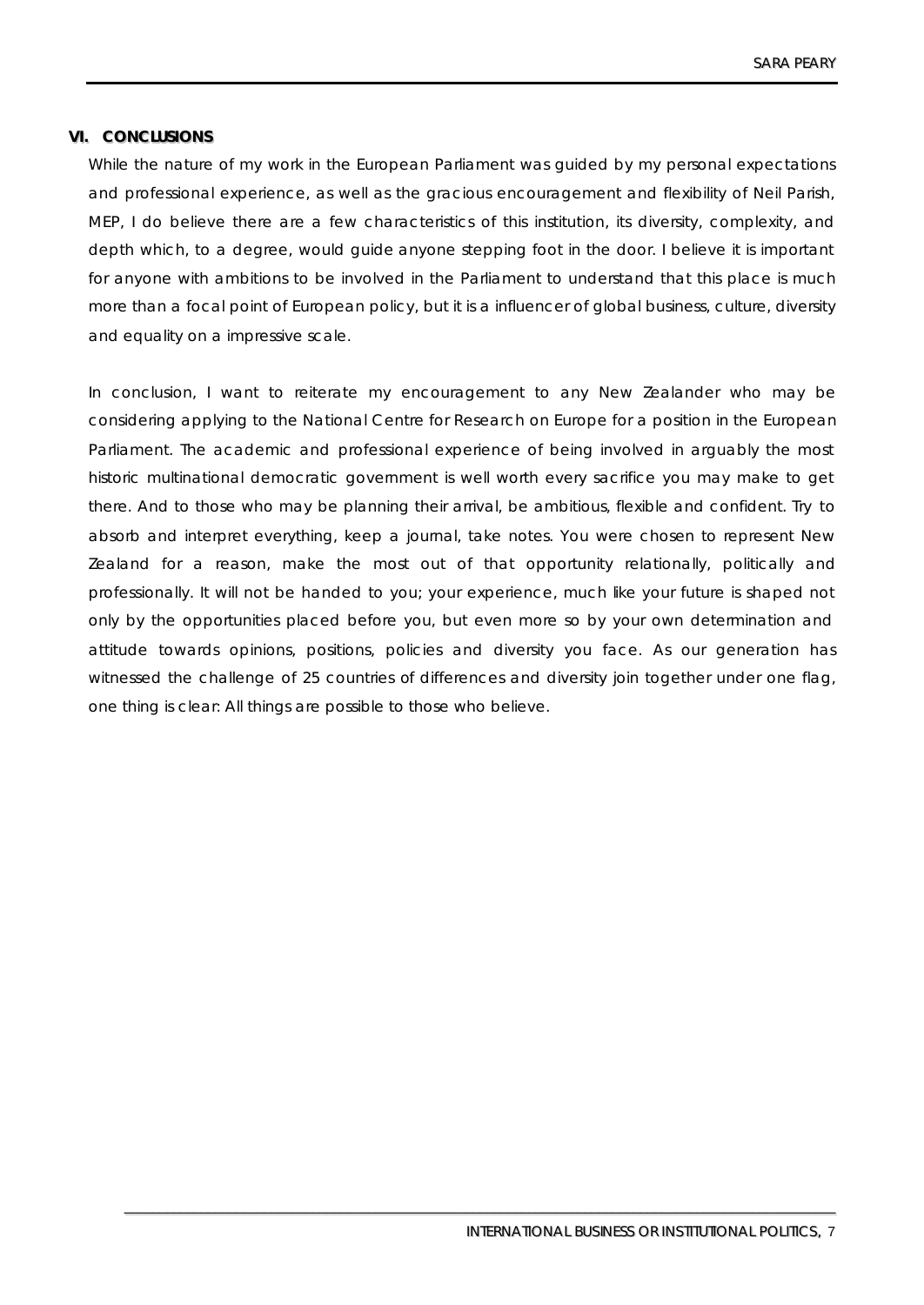# **VI. CONCLUSIONS**

While the nature of my work in the European Parliament was guided by my personal expectations and professional experience, as well as the gracious encouragement and flexibility of Neil Parish, MEP, I do believe there are a few characteristics of this institution, its diversity, complexity, and depth which, to a degree, would guide anyone stepping foot in the door. I believe it is important for anyone with ambitions to be involved in the Parliament to understand that this place is much more than a focal point of European policy, but it is a influencer of global business, culture, diversity and equality on a impressive scale.

In conclusion, I want to reiterate my encouragement to any New Zealander who may be considering applying to the National Centre for Research on Europe for a position in the European Parliament. The academic and professional experience of being involved in arguably the most historic multinational democratic government is well worth every sacrifice you may make to get there. And to those who may be planning their arrival, be ambitious, flexible and confident. Try to absorb and interpret everything, keep a journal, take notes. You were chosen to represent New Zealand for a reason, make the most out of that opportunity relationally, politically and professionally. It will not be handed to you; your experience, much like your future is shaped not only by the opportunities placed before you, but even more so by your own determination and attitude towards opinions, positions, policies and diversity you face. As our generation has witnessed the challenge of 25 countries of differences and diversity join together under one flag, one thing is clear: All things are possible to those who believe.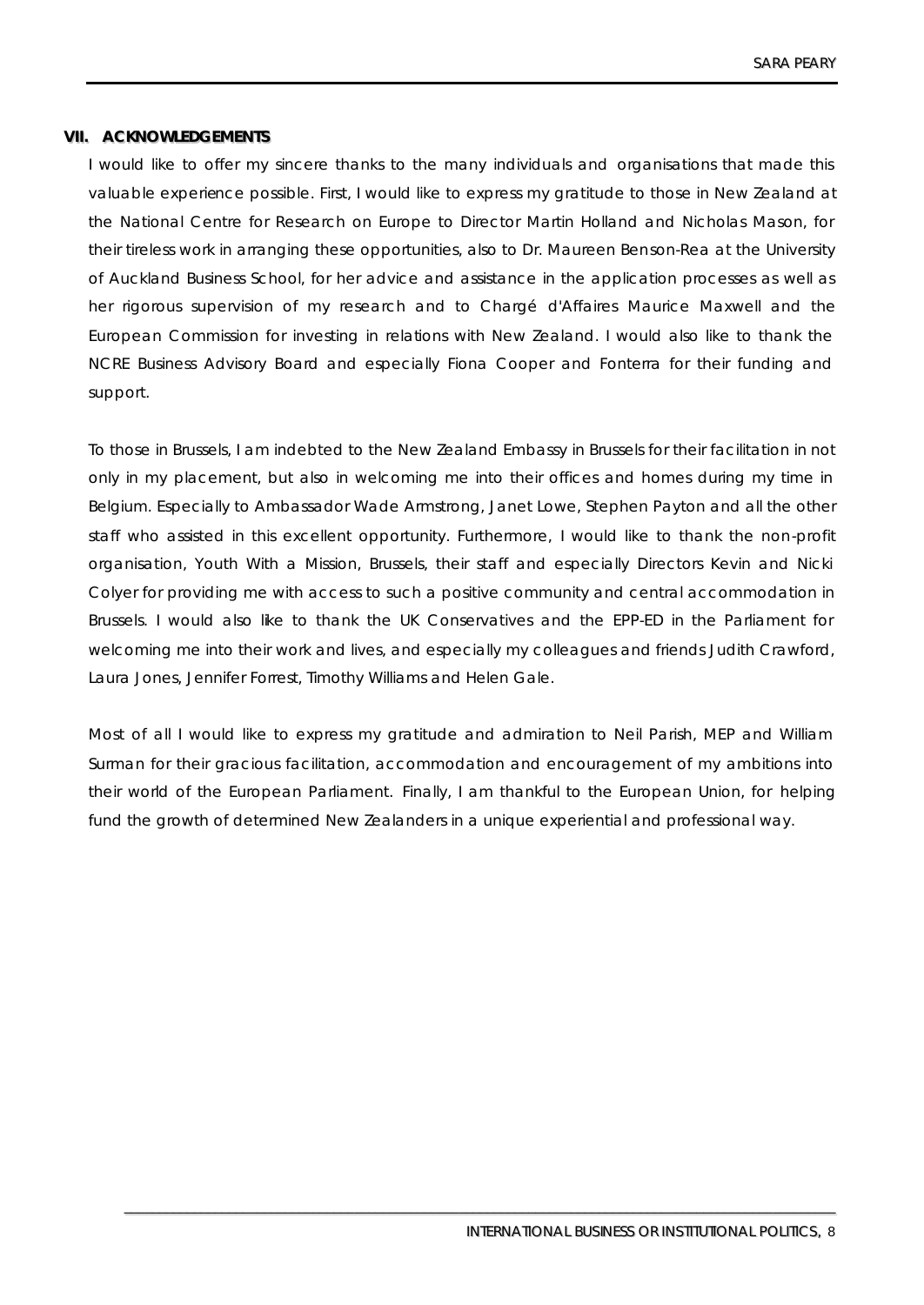# **VIIII.. ACKNOWLEDGEMENTS**

I would like to offer my sincere thanks to the many individuals and organisations that made this valuable experience possible. First, I would like to express my gratitude to those in New Zealand at the National Centre for Research on Europe to Director Martin Holland and Nicholas Mason, for their tireless work in arranging these opportunities, also to Dr. Maureen Benson-Rea at the University of Auckland Business School, for her advice and assistance in the application processes as well as her rigorous supervision of my research and to Chargé d'Affaires Maurice Maxwell and the European Commission for investing in relations with New Zealand. I would also like to thank the NCRE Business Advisory Board and especially Fiona Cooper and Fonterra for their funding and support.

To those in Brussels, I am indebted to the New Zealand Embassy in Brussels for their facilitation in not only in my placement, but also in welcoming me into their offices and homes during my time in Belgium. Especially to Ambassador Wade Armstrong, Janet Lowe, Stephen Payton and all the other staff who assisted in this excellent opportunity. Furthermore, I would like to thank the non-profit organisation, Youth With a Mission, Brussels, their staff and especially Directors Kevin and Nicki Colyer for providing me with access to such a positive community and central accommodation in Brussels. I would also like to thank the UK Conservatives and the EPP-ED in the Parliament for welcoming me into their work and lives, and especially my colleagues and friends Judith Crawford, Laura Jones, Jennifer Forrest, Timothy Williams and Helen Gale.

Most of all I would like to express my gratitude and admiration to Neil Parish, MEP and William Surman for their gracious facilitation, accommodation and encouragement of my ambitions into their world of the European Parliament. Finally, I am thankful to the European Union, for helping fund the growth of determined New Zealanders in a unique experiential and professional way.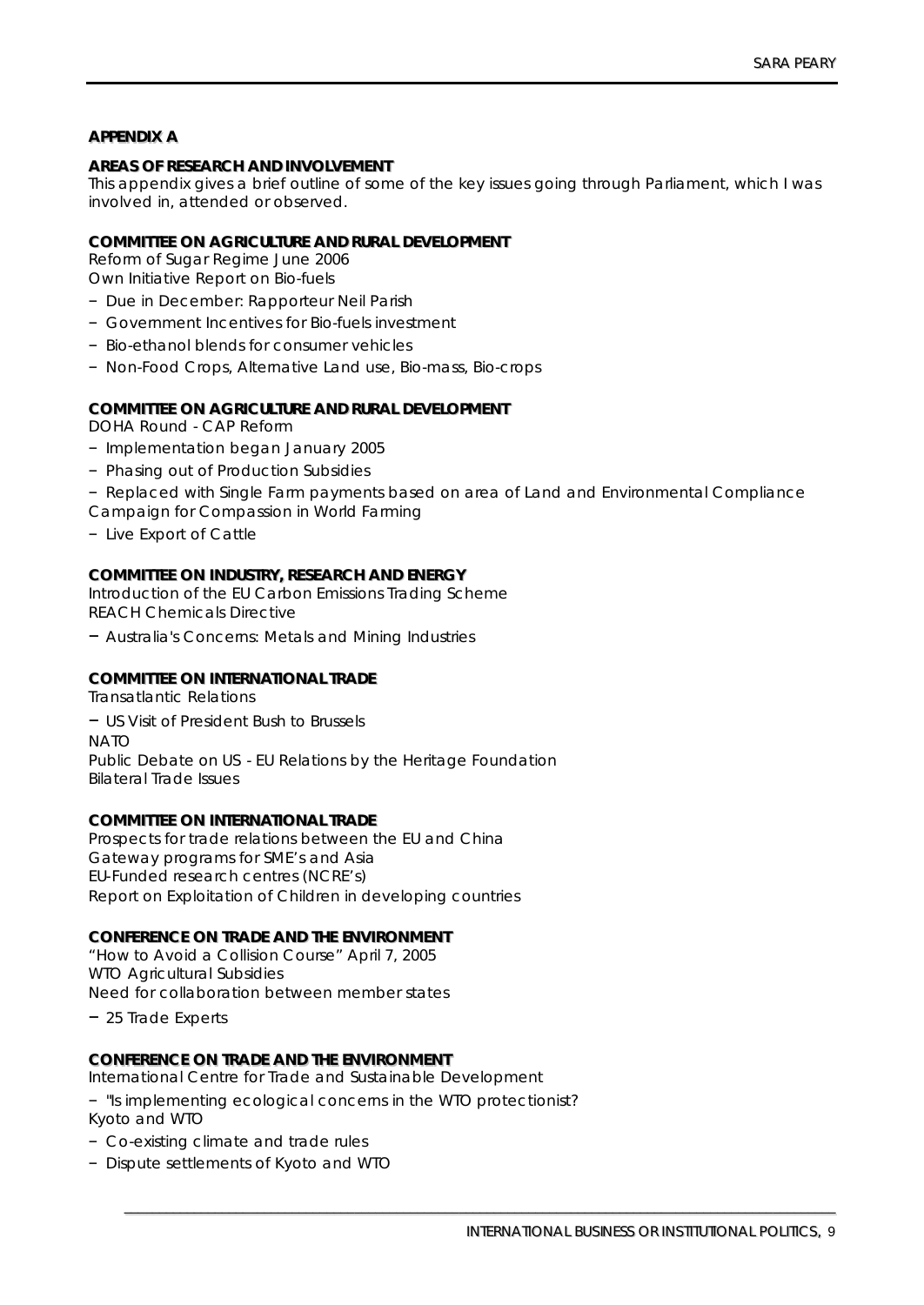# **APPENDIIX A**

## **AREAS OF RESEARCH AND IINVOLVEMENT**

This appendix gives a brief outline of some of the key issues going through Parliament, which I was involved in, attended or observed.

### **COMMITTEE ON AGRICULTURE AND RURAL DEVELOPMENT**

Reform of Sugar Regime June 2006

Own Initiative Report on Bio-fuels

- Due in December: Rapporteur Neil Parish
- Government Incentives for Bio-fuels investment
- Bio-ethanol blends for consumer vehicles
- Non-Food Crops, Alternative Land use, Bio-mass, Bio-crops

### **COMMIITTEE ON AGRIICULTURE AND RURAL DEVELOPMENT**

DOHA Round - CAP Reform

- Implementation began January 2005
- Phasing out of Production Subsidies
- Replaced with Single Farm payments based on area of Land and Environmental Compliance
- Campaign for Compassion in World Farming
- Live Export of Cattle

## **COMMIITTEE ON IINDUSTRY,, RESEARCH AND ENERGY**

Introduction of the EU Carbon Emissions Trading Scheme REACH Chemicals Directive

– Australia's Concerns: Metals and Mining Industries

## **COMMIITTEE ON IINTERNATIIONAL TRADE**

Transatlantic Relations – US Visit of President Bush to Brussels **NATO** Public Debate on US - EU Relations by the Heritage Foundation Bilateral Trade Issues

### **COMMIITTEE ON IINTERNATIIONAL TRADE**

Prospects for trade relations between the EU and China Gateway programs for SME's and Asia EU-Funded research centres (NCRE's) Report on Exploitation of Children in developing countries

#### **CONFERENCE ON TRADE AND THE ENVIIRONMENT**

"How to Avoid a Collision Course" April 7, 2005 WTO Agricultural Subsidies Need for collaboration between member states

– 25 Trade Experts

#### **CONFERENCE ON TRADE AND THE ENVIIRONMENT**

International Centre for Trade and Sustainable Development

– "Is implementing ecological concerns in the WTO protectionist? Kyoto and WTO

- Co-existing climate and trade rules
- Dispute settlements of Kyoto and WTO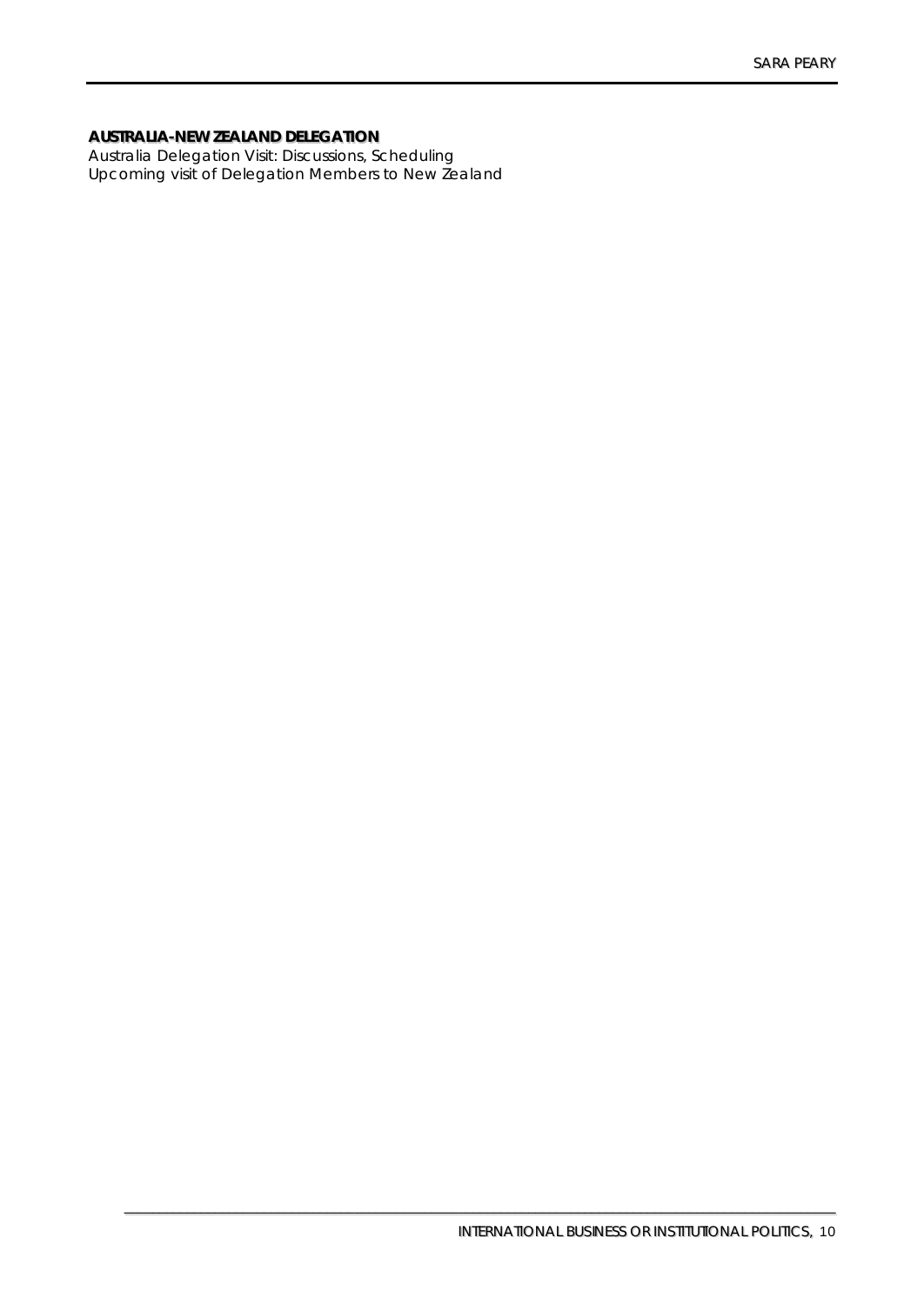# **AUSTRALIIA-NEW ZEALAND DELEGATIION**

Australia Delegation Visit: Discussions, Scheduling Upcoming visit of Delegation Members to New Zealand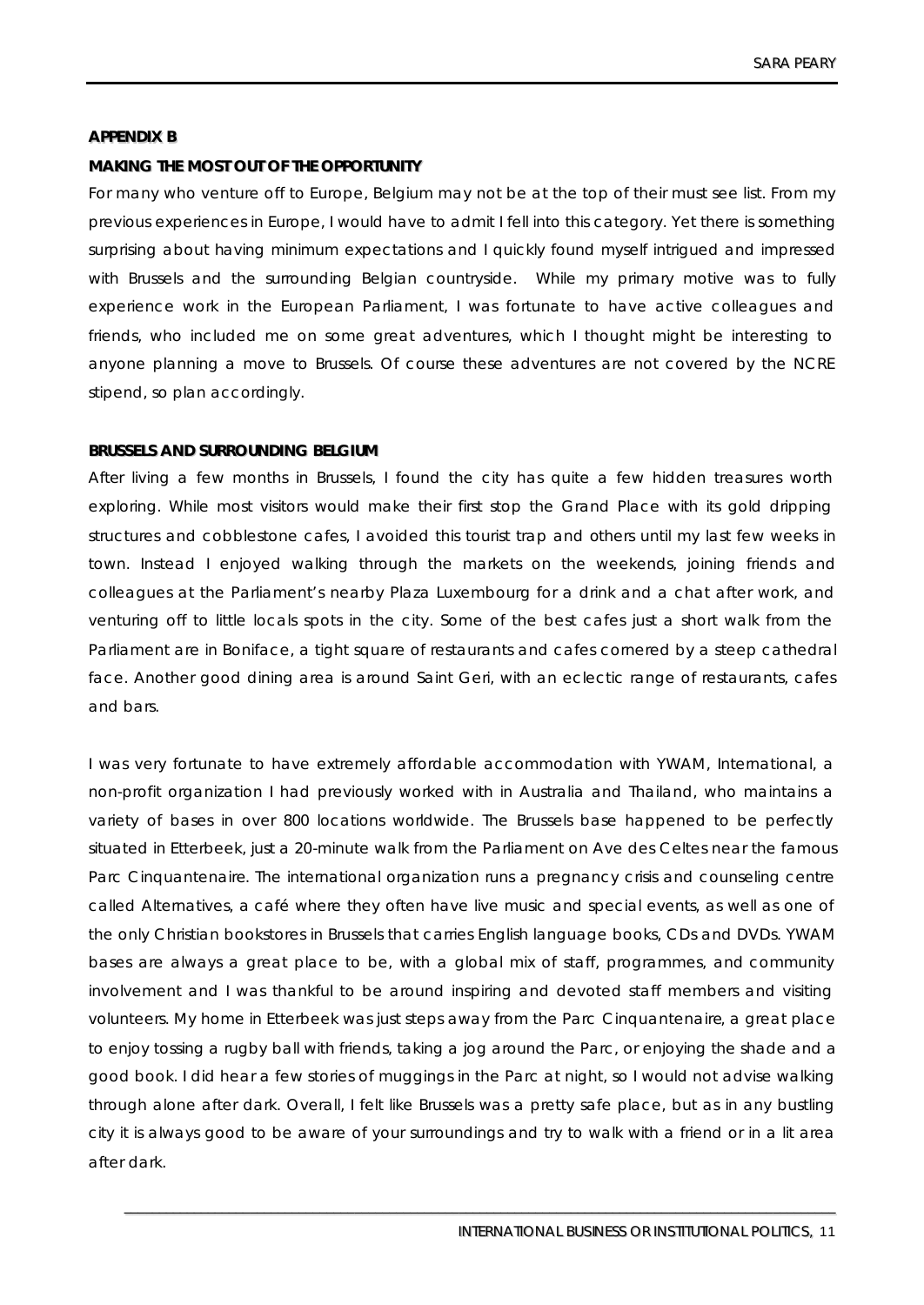## **APPENDIIX B**

## **MAKIING THE MOST OUT OF THE OPPORTUNIITY**

For many who venture off to Europe, Belgium may not be at the top of their must see list. From my previous experiences in Europe, I would have to admit I fell into this category. Yet there is something surprising about having minimum expectations and I quickly found myself intrigued and impressed with Brussels and the surrounding Belgian countryside. While my primary motive was to fully experience work in the European Parliament, I was fortunate to have active colleagues and friends, who included me on some great adventures, which I thought might be interesting to anyone planning a move to Brussels. Of course these adventures are not covered by the NCRE stipend, so plan accordingly.

### **BRUSSELS AND SURROUNDIING BELGIIUM**

After living a few months in Brussels, I found the city has quite a few hidden treasures worth exploring. While most visitors would make their first stop the Grand Place with its gold dripping structures and cobblestone cafes, I avoided this tourist trap and others until my last few weeks in town. Instead I enjoyed walking through the markets on the weekends, joining friends and colleagues at the Parliament's nearby Plaza Luxembourg for a drink and a chat after work, and venturing off to little locals spots in the city. Some of the best cafes just a short walk from the Parliament are in Boniface, a tight square of restaurants and cafes cornered by a steep cathedral face. Another good dining area is around Saint Geri, with an eclectic range of restaurants, cafes and bars.

I was very fortunate to have extremely affordable accommodation with YWAM, International, a non-profit organization I had previously worked with in Australia and Thailand, who maintains a variety of bases in over 800 locations worldwide. The Brussels base happened to be perfectly situated in Etterbeek, just a 20-minute walk from the Parliament on Ave des Celtes near the famous Parc Cinquantenaire. The international organization runs a pregnancy crisis and counseling centre called Alternatives, a café where they often have live music and special events, as well as one of the only Christian bookstores in Brussels that carries English language books, CDs and DVDs. YWAM bases are always a great place to be, with a global mix of staff, programmes, and community involvement and I was thankful to be around inspiring and devoted staff members and visiting volunteers. My home in Etterbeek was just steps away from the Parc Cinquantenaire, a great place to enjoy tossing a rugby ball with friends, taking a jog around the Parc, or enjoying the shade and a good book. I did hear a few stories of muggings in the Parc at night, so I would not advise walking through alone after dark. Overall, I felt like Brussels was a pretty safe place, but as in any bustling city it is always good to be aware of your surroundings and try to walk with a friend or in a lit area after dark.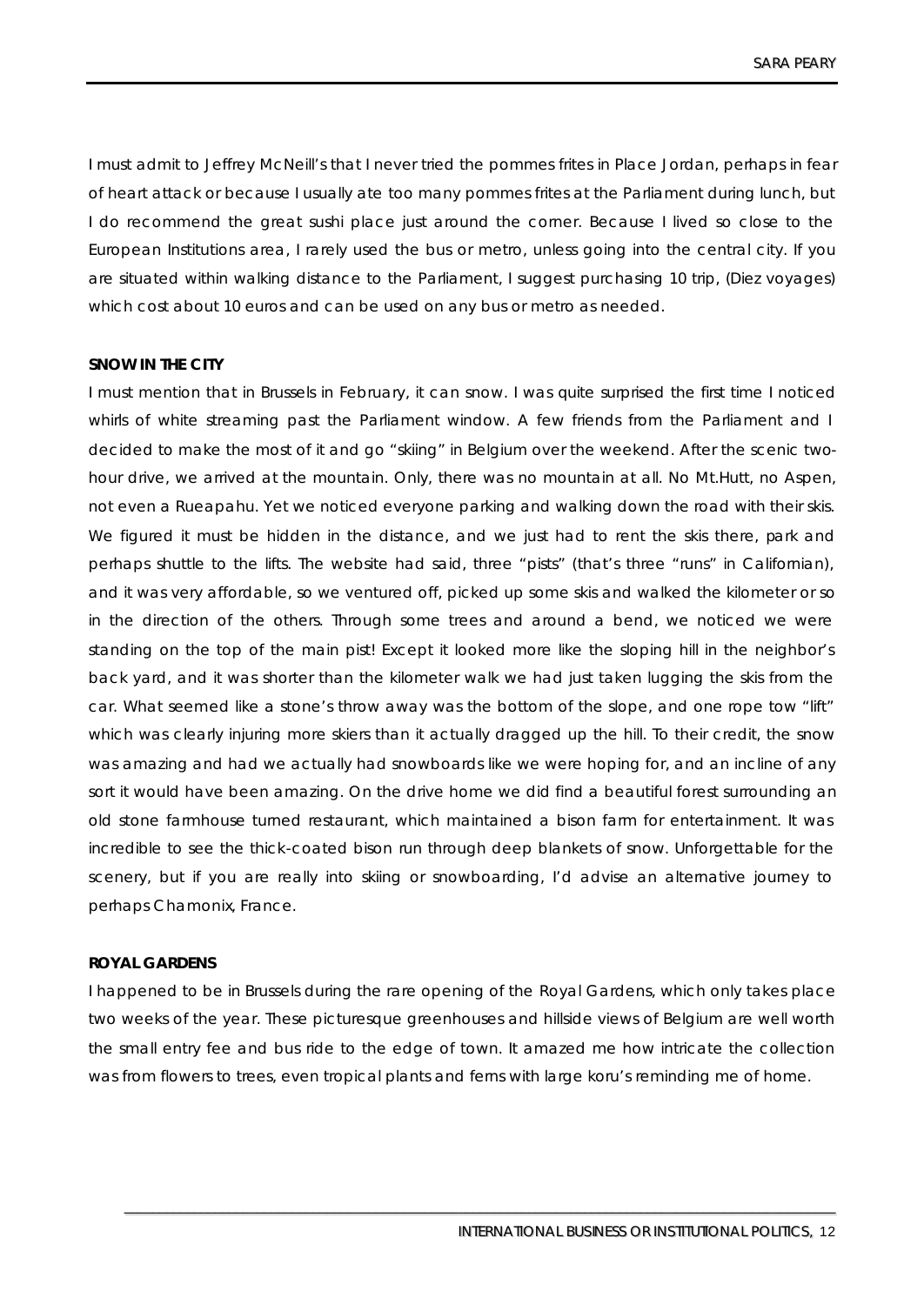I must admit to Jeffrey McNeill's that I never tried the pommes frites in Place Jordan, perhaps in fear of heart attack or because I usually ate too many pommes frites at the Parliament during lunch, but I do recommend the great sushi place just around the corner. Because I lived so close to the European Institutions area, I rarely used the bus or metro, unless going into the central city. If you are situated within walking distance to the Parliament, I suggest purchasing 10 trip, (Diez voyages) which cost about 10 euros and can be used on any bus or metro as needed.

# **SNOW IN THE CITY**

I must mention that in Brussels in February, it can snow. I was quite surprised the first time I noticed whirls of white streaming past the Parliament window. A few friends from the Parliament and I decided to make the most of it and go "skiing" in Belgium over the weekend. After the scenic twohour drive, we arrived at the mountain. Only, there was no mountain at all. No Mt.Hutt, no Aspen, not even a Rueapahu. Yet we noticed everyone parking and walking down the road with their skis. We figured it must be hidden in the distance, and we just had to rent the skis there, park and perhaps shuttle to the lifts. The website had said, three "pists" (that's three "runs" in Californian), and it was very affordable, so we ventured off, picked up some skis and walked the kilometer or so in the direction of the others. Through some trees and around a bend, we noticed we were standing on the top of the main pist! Except it looked more like the sloping hill in the neighbor's back yard, and it was shorter than the kilometer walk we had just taken lugging the skis from the car. What seemed like a stone's throw away was the bottom of the slope, and one rope tow "lift" which was clearly injuring more skiers than it actually dragged up the hill. To their credit, the snow was amazing and had we actually had snowboards like we were hoping for, and an incline of any sort it would have been amazing. On the drive home we did find a beautiful forest surrounding an old stone farmhouse turned restaurant, which maintained a bison farm for entertainment. It was incredible to see the thick-coated bison run through deep blankets of snow. Unforgettable for the scenery, but if you are really into skiing or snowboarding, I'd advise an alternative journey to perhaps Chamonix, France.

#### **ROYAL GARDENS**

I happened to be in Brussels during the rare opening of the Royal Gardens, which only takes place two weeks of the year. These picturesque greenhouses and hillside views of Belgium are well worth the small entry fee and bus ride to the edge of town. It amazed me how intricate the collection was from flowers to trees, even tropical plants and ferns with large koru's reminding me of home.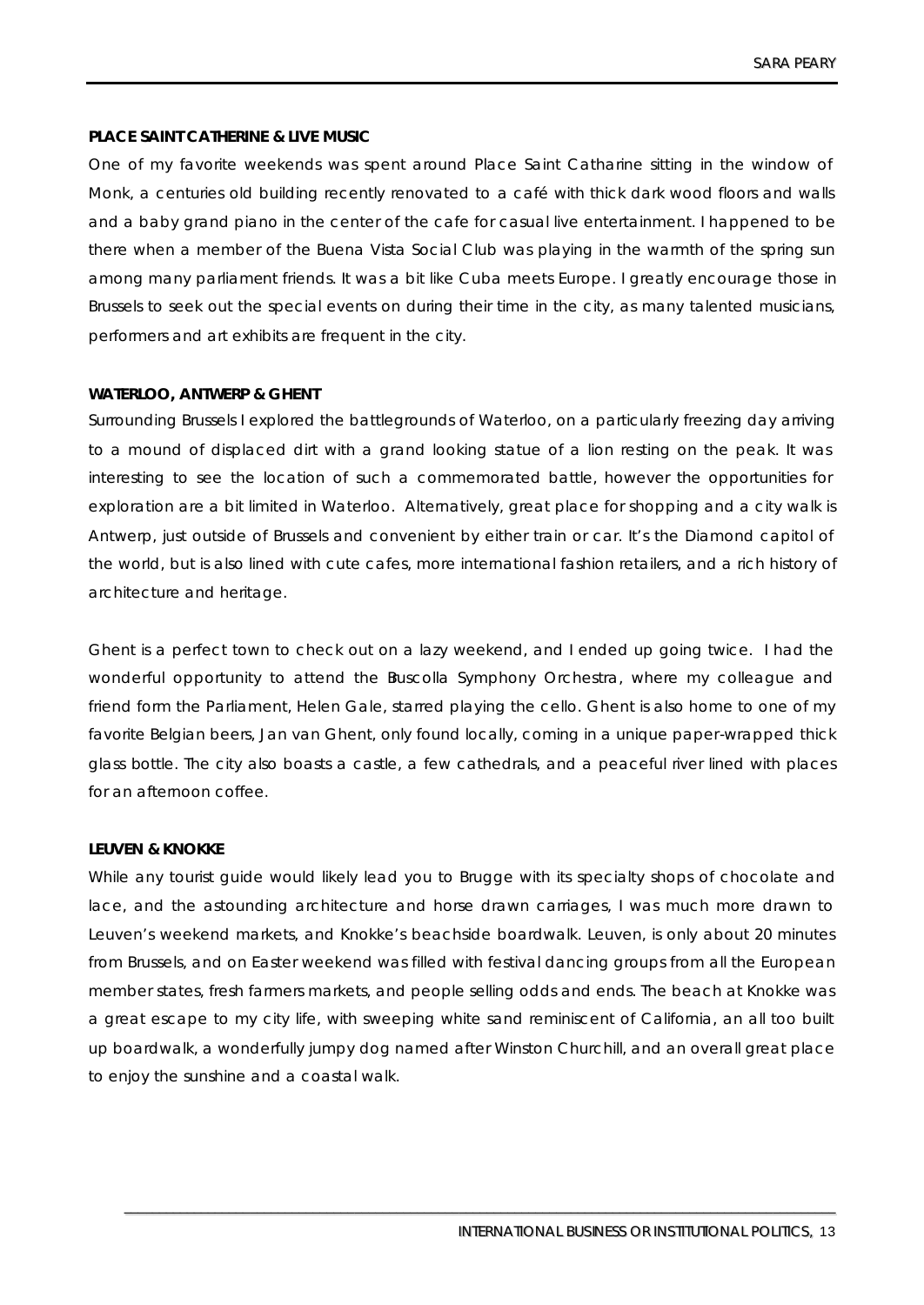# **PLACE SAINT CATHERINE & LIVE MUSIC**

One of my favorite weekends was spent around Place Saint Catharine sitting in the window of Monk, a centuries old building recently renovated to a café with thick dark wood floors and walls and a baby grand piano in the center of the cafe for casual live entertainment. I happened to be there when a member of the Buena Vista Social Club was playing in the warmth of the spring sun among many parliament friends. It was a bit like Cuba meets Europe. I greatly encourage those in Brussels to seek out the special events on during their time in the city, as many talented musicians, performers and art exhibits are frequent in the city.

# **WATERLOO, ANTWERP & GHENT**

Surrounding Brussels I explored the battlegrounds of Waterloo, on a particularly freezing day arriving to a mound of displaced dirt with a grand looking statue of a lion resting on the peak. It was interesting to see the location of such a commemorated battle, however the opportunities for exploration are a bit limited in Waterloo. Alternatively, great place for shopping and a city walk is Antwerp, just outside of Brussels and convenient by either train or car. It's the Diamond capitol of the world, but is also lined with cute cafes, more international fashion retailers, and a rich history of architecture and heritage.

Ghent is a perfect town to check out on a lazy weekend, and I ended up going twice. I had the wonderful opportunity to attend the Buscolla Symphony Orchestra, where my colleague and friend form the Parliament, Helen Gale, starred playing the cello. Ghent is also home to one of my favorite Belgian beers, Jan van Ghent, only found locally, coming in a unique paper-wrapped thick glass bottle. The city also boasts a castle, a few cathedrals, and a peaceful river lined with places for an afternoon coffee.

# **LEUVEN & KNOKKE**

While any tourist guide would likely lead you to Brugge with its specialty shops of chocolate and lace, and the astounding architecture and horse drawn carriages, I was much more drawn to Leuven's weekend markets, and Knokke's beachside boardwalk. Leuven, is only about 20 minutes from Brussels, and on Easter weekend was filled with festival dancing groups from all the European member states, fresh farmers markets, and people selling odds and ends. The beach at Knokke was a great escape to my city life, with sweeping white sand reminiscent of California, an all too built up boardwalk, a wonderfully jumpy dog named after Winston Churchill, and an overall great place to enjoy the sunshine and a coastal walk.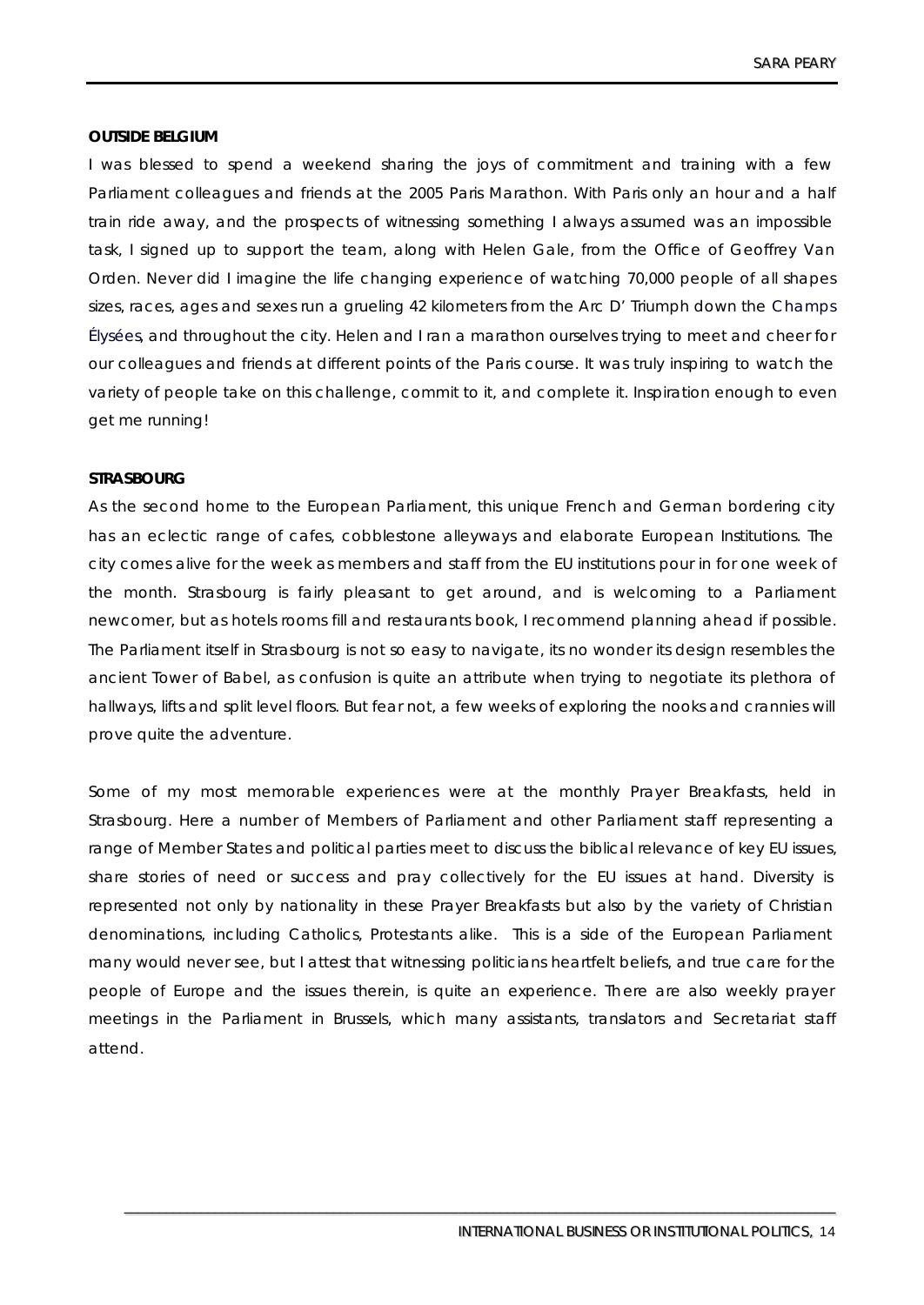## **OUTSIDE BELGIUM**

I was blessed to spend a weekend sharing the joys of commitment and training with a few Parliament colleagues and friends at the 2005 Paris Marathon. With Paris only an hour and a half train ride away, and the prospects of witnessing something I always assumed was an impossible task, I signed up to support the team, along with Helen Gale, from the Office of Geoffrey Van Orden. Never did I imagine the life changing experience of watching 70,000 people of all shapes sizes, races, ages and sexes run a grueling 42 kilometers from the Arc D' Triumph down the Champs Élysées, and throughout the city. Helen and I ran a marathon ourselves trying to meet and cheer for our colleagues and friends at different points of the Paris course. It was truly inspiring to watch the variety of people take on this challenge, commit to it, and complete it. Inspiration enough to even get me running!

#### **STRASBOURG**

As the second home to the European Parliament, this unique French and German bordering city has an eclectic range of cafes, cobblestone alleyways and elaborate European Institutions. The city comes alive for the week as members and staff from the EU institutions pour in for one week of the month. Strasbourg is fairly pleasant to get around, and is welcoming to a Parliament newcomer, but as hotels rooms fill and restaurants book, I recommend planning ahead if possible. The Parliament itself in Strasbourg is not so easy to navigate, its no wonder its design resembles the ancient Tower of Babel, as confusion is quite an attribute when trying to negotiate its plethora of hallways, lifts and split level floors. But fear not, a few weeks of exploring the nooks and crannies will prove quite the adventure.

Some of my most memorable experiences were at the monthly Prayer Breakfasts, held in Strasbourg. Here a number of Members of Parliament and other Parliament staff representing a range of Member States and political parties meet to discuss the biblical relevance of key EU issues, share stories of need or success and pray collectively for the EU issues at hand. Diversity is represented not only by nationality in these Prayer Breakfasts but also by the variety of Christian denominations, including Catholics, Protestants alike. This is a side of the European Parliament many would never see, but I attest that witnessing politicians heartfelt beliefs, and true care for the people of Europe and the issues therein, is quite an experience. There are also weekly prayer meetings in the Parliament in Brussels, which many assistants, translators and Secretariat staff attend.